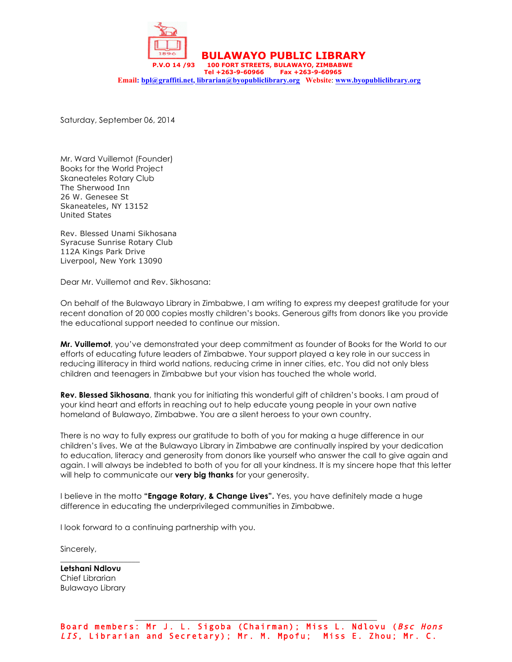

**BULAWAYO PUBLIC LIBRARY** 14/93 100 FORT STREETS, BULAWAYO, ZIMBABWE

 **Tel +263-9-60966 Fax +263-9-60965 Email: bpl@graffiti.net, librarian@byopubliclibrary.org Website**: **www.byopubliclibrary.org**

Saturday, September 06, 2014

Mr. Ward Vuillemot (Founder) Books for the World Project Skaneateles Rotary Club The Sherwood Inn 26 W. Genesee St Skaneateles, NY 13152 United States

Rev. Blessed Unami Sikhosana Syracuse Sunrise Rotary Club 112A Kings Park Drive Liverpool, New York 13090

Dear Mr. Vuillemot and Rev. Sikhosana:

On behalf of the Bulawayo Library in Zimbabwe, I am writing to express my deepest gratitude for your recent donation of 20 000 copies mostly children's books. Generous gifts from donors like you provide the educational support needed to continue our mission.

**Mr. Vuillemot**, you've demonstrated your deep commitment as founder of Books for the World to our efforts of educating future leaders of Zimbabwe. Your support played a key role in our success in reducing illiteracy in third world nations, reducing crime in inner cities, etc. You did not only bless children and teenagers in Zimbabwe but your vision has touched the whole world.

**Rev. Blessed Sikhosana**, thank you for initiating this wonderful gift of children's books. I am proud of your kind heart and efforts in reaching out to help educate young people in your own native homeland of Bulawayo, Zimbabwe. You are a silent heroess to your own country.

There is no way to fully express our gratitude to both of you for making a huge difference in our children's lives. We at the Bulawayo Library in Zimbabwe are continually inspired by your dedication to education, literacy and generosity from donors like yourself who answer the call to give again and again. I will always be indebted to both of you for all your kindness. It is my sincere hope that this letter will help to communicate our **very big thanks** for your generosity.

I believe in the motto **"Engage Rotary, & Change Lives".** Yes, you have definitely made a huge difference in educating the underprivileged communities in Zimbabwe.

I look forward to a continuing partnership with you.

Sincerely,

**Letshani Ndlovu** Chief Librarian Bulawayo Library

\_\_\_\_\_\_\_\_\_\_\_\_\_\_\_\_\_\_\_\_

Board members: Mr J. L. Sigoba (Chairman); Miss L. Ndlovu (Bsc Hons LIS, Librarian and Secretary); Mr. M. Mpofu; Miss E. Zhou; Mr. C.

\_\_\_\_\_\_\_\_\_\_\_\_\_\_\_\_\_\_\_\_\_\_\_\_\_\_\_\_\_\_\_\_\_\_\_\_\_\_\_\_\_\_\_\_\_\_\_\_\_\_\_\_\_\_\_\_\_\_\_\_\_